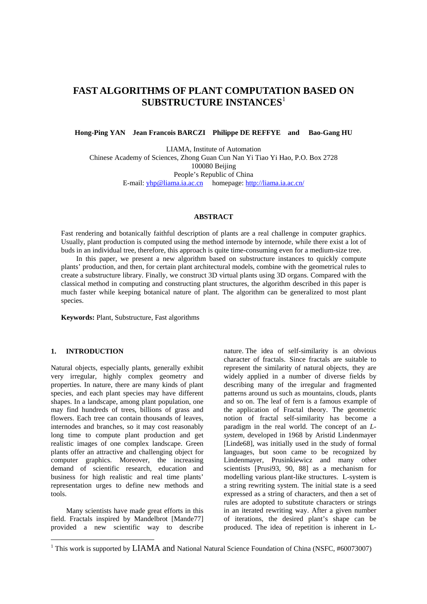# **FAST ALGORITHMS OF PLANT COMPUTATION BASED ON SUBSTRUCTURE INSTANCES**<sup>1</sup>

**Hong-Ping YAN Jean Francois BARCZI Philippe DE REFFYE and Bao-Gang HU** 

LIAMA, Institute of Automation Chinese Academy of Sciences, Zhong Guan Cun Nan Yi Tiao Yi Hao, P.O. Box 2728 100080 Beijing People's Republic of China E-mail: yhp@liama.ia.ac.cn homepage: http://liama.ia.ac.cn/

# **ABSTRACT**

Fast rendering and botanically faithful description of plants are a real challenge in computer graphics. Usually, plant production is computed using the method internode by internode, while there exist a lot of buds in an individual tree, therefore, this approach is quite time-consuming even for a medium-size tree.

In this paper, we present a new algorithm based on substructure instances to quickly compute plants' production, and then, for certain plant architectural models, combine with the geometrical rules to create a substructure library. Finally, we construct 3D virtual plants using 3D organs. Compared with the classical method in computing and constructing plant structures, the algorithm described in this paper is much faster while keeping botanical nature of plant. The algorithm can be generalized to most plant species.

**Keywords:** Plant, Substructure, Fast algorithms

# **1. INTRODUCTION**

 $\overline{\phantom{a}}$ 

Natural objects, especially plants, generally exhibit very irregular, highly complex geometry and properties. In nature, there are many kinds of plant species, and each plant species may have different shapes. In a landscape, among plant population, one may find hundreds of trees, billions of grass and flowers. Each tree can contain thousands of leaves, internodes and branches, so it may cost reasonably long time to compute plant production and get realistic images of one complex landscape. Green plants offer an attractive and challenging object for computer graphics. Moreover, the increasing demand of scientific research, education and business for high realistic and real time plants' representation urges to define new methods and tools.

Many scientists have made great efforts in this field. Fractals inspired by Mandelbrot [Mande77] provided a new scientific way to describe nature. The idea of self-similarity is an obvious character of fractals. Since fractals are suitable to represent the similarity of natural objects, they are widely applied in a number of diverse fields by describing many of the irregular and fragmented patterns around us such as mountains, clouds, plants and so on. The leaf of fern is a famous example of the application of Fractal theory. The geometric notion of fractal self-similarity has become a paradigm in the real world. The concept of an *Lsystem*, developed in 1968 by Aristid Lindenmayer [Linde68], was initially used in the study of formal languages, but soon came to be recognized by Lindenmayer, Prusinkiewicz and many other scientists [Prusi93, 90, 88] as a mechanism for modelling various plant-like structures. L-system is a string rewriting system. The initial state is a seed expressed as a string of characters, and then a set of rules are adopted to substitute characters or strings in an iterated rewriting way. After a given number of iterations, the desired plant's shape can be produced. The idea of repetition is inherent in L-

<sup>&</sup>lt;sup>1</sup> This work is supported by LIAMA and National Natural Science Foundation of China (NSFC, #60073007)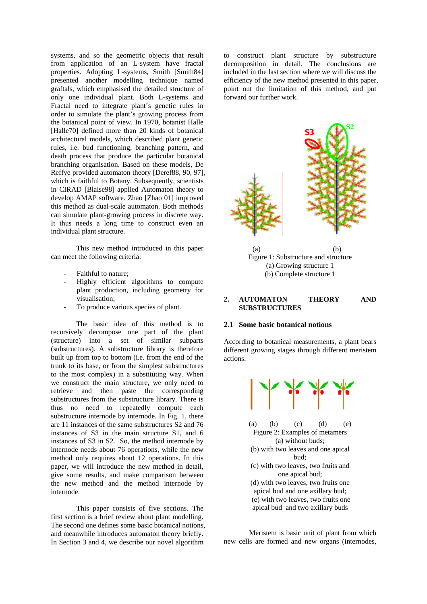systems, and so the geometric objects that result from application of an L-system have fractal properties. Adopting L-systems, Smith [Smith84] presented another modelling technique named graftals, which emphasised the detailed structure of only one individual plant. Both L-systems and Fractal need to integrate plant's genetic rules in order to simulate the plant's growing process from the botanical point of view. In 1970, botanist Halle [Halle70] defined more than 20 kinds of botanical architectural models, which described plant genetic rules, i.e. bud functioning, branching pattern, and death process that produce the particular botanical branching organisation. Based on these models, De Reffye provided automaton theory [Deref88, 90, 97], which is faithful to Botany. Subsequently, scientists in CIRAD [Blaise98] applied Automaton theory to develop AMAP software. Zhao [Zhao 01] improved this method as dual-scale automaton. Both methods can simulate plant-growing process in discrete way. It thus needs a long time to construct even an individual plant structure.

This new method introduced in this paper can meet the following criteria:

- Faithful to nature:
- Highly efficient algorithms to compute plant production, including geometry for visualisation;
- To produce various species of plant.

The basic idea of this method is to recursively decompose one part of the plant (structure) into a set of similar subparts (substructures). A substructure library is therefore built up from top to bottom (i.e. from the end of the trunk to its base, or from the simplest substructures to the most complex) in a substituting way. When we construct the main structure, we only need to retrieve and then paste the corresponding substructures from the substructure library. There is thus no need to repeatedly compute each substructure internode by internode. In Fig. 1, there are 11 instances of the same substructures S2 and 76 instances of S3 in the main structure S1, and 6 instances of S3 in S2. So, the method internode by internode needs about 76 operations, while the new method only requires about 12 operations. In this paper, we will introduce the new method in detail, give some results, and make comparison between the new method and the method internode by internode.

This paper consists of five sections. The first section is a brief review about plant modelling. The second one defines some basic botanical notions, and meanwhile introduces automaton theory briefly. In Section 3 and 4, we describe our novel algorithm

to construct plant structure by substructure decomposition in detail. The conclusions are included in the last section where we will discuss the efficiency of the new method presented in this paper, point out the limitation of this method, and put forward our further work.



 $(a)$  (b) Figure 1: Substructure and structure (a) Growing structure 1 (b) Complete structure 1

## **2. AUTOMATON THEORY AND SUBSTRUCTURES**

# **2.1 Some basic botanical notions**

According to botanical measurements, a plant bears different growing stages through different meristem actions.



Meristem is basic unit of plant from which new cells are formed and new organs (internodes,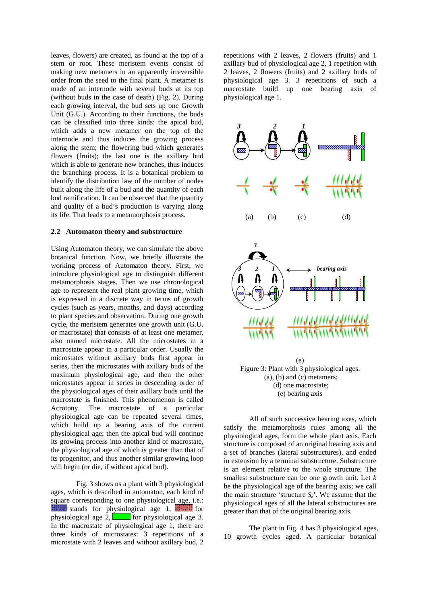leaves, flowers) are created, as found at the top of a stem or root. These meristem events consist of making new metamers in an apparently irreversible order from the seed to the final plant. A metamer is made of an internode with several buds at its top (without buds in the case of death) (Fig. 2). During each growing interval, the bud sets up one Growth Unit (G.U.). According to their functions, the buds can be classified into three kinds: the apical bud, which adds a new metamer on the top of the internode and thus induces the growing process along the stem; the flowering bud which generates flowers (fruits); the last one is the axillary bud which is able to generate new branches, thus induces the branching process. It is a botanical problem to identify the distribution law of the number of nodes built along the life of a bud and the quantity of each bud ramification. It can be observed that the quantity and quality of a bud's production is varying along its life. That leads to a metamorphosis process.

## **2.2 Automaton theory and substructure**

Using Automaton theory, we can simulate the above botanical function. Now, we briefly illustrate the working process of Automaton theory. First, we introduce physiological age to distinguish different metamorphosis stages. Then we use chronological age to represent the real plant growing time, which is expressed in a discrete way in terms of growth cycles (such as years, months, and days) according to plant species and observation. During one growth cycle, the meristem generates one growth unit (G.U. or macrostate) that consists of at least one metamer, also named microstate. All the microstates in a macrostate appear in a particular order. Usually the microstates without axillary buds first appear in series, then the microstates with axillary buds of the maximum physiological age, and then the other microstates appear in series in descending order of the physiological ages of their axillary buds until the macrostate is finished. This phenomenon is called Acrotony. The macrostate of a particular physiological age can be repeated several times, which build up a bearing axis of the current physiological age; then the apical bud will continue its growing process into another kind of macrostate, the physiological age of which is greater than that of its progenitor, and thus another similar growing loop will begin (or die, if without apical bud).

Fig. 3 shows us a plant with 3 physiological ages, which is described in automaton, each kind of square corresponding to one physiological age, i.e.: stands for physiological age 1, **Which is a standard for** physiological age 2,  $\boxed{\qquad}$  for physiological age 3. In the macrostate of physiological age 1, there are three kinds of microstates: 3 repetitions of a microstate with 2 leaves and without axillary bud, 2 repetitions with 2 leaves, 2 flowers (fruits) and 1 axillary bud of physiological age 2, 1 repetition with 2 leaves, 2 flowers (fruits) and 2 axillary buds of physiological age 3. 3 repetitions of such a macrostate build up one bearing axis of physiological age 1.



All of such successive bearing axes, which satisfy the metamorphosis rules among all the physiological ages, form the whole plant axis. Each structure is composed of an original bearing axis and a set of branches (lateral substructures), and ended in extension by a terminal substructure. Substructure is an element relative to the whole structure. The smallest substructure can be one growth unit. Let *k* be the physiological age of the bearing axis; we call the main structure 'structure  $S_k$ '. We assume that the physiological ages of all the lateral substructures are greater than that of the original bearing axis.

The plant in Fig. 4 has 3 physiological ages, 10 growth cycles aged. A particular botanical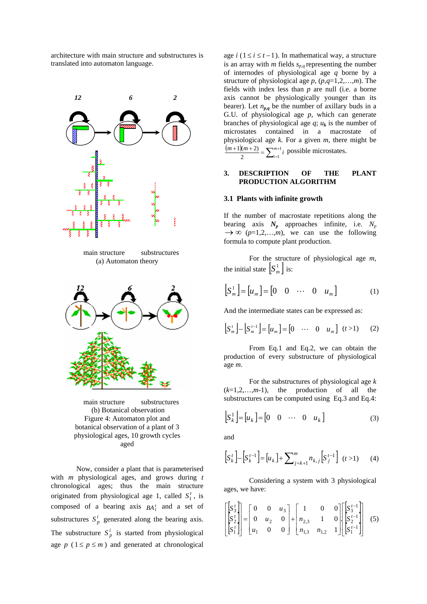architecture with main structure and substructures is translated into automaton language.



main structure substructures (b) Botanical observation Figure 4: Automaton plot and botanical observation of a plant of 3 physiological ages, 10 growth cycles aged

Now, consider a plant that is parameterised with *m* physiological ages, and grows during *t* chronological ages; thus the main structure originated from physiological age 1, called  $S_1^t$ , is composed of a bearing axis  $BA_1^t$  and a set of substructures  $S_p^i$  generated along the bearing axis. The substructure  $S_p^i$  is started from physiological age  $p$  ( $1 \le p \le m$ ) and generated at chronological

age  $i$  (1≤ $i$  ≤  $t$  −1). In mathematical way, a structure is an array with  $m$  fields  $s_{p,q}$  representing the number of internodes of physiological age *q* borne by a structure of physiological age *p*, (*p,q*=1,2,…,*m*). The fields with index less than *p* are null (i.e. a borne axis cannot be physiologically younger than its bearer). Let  $n_{p,q}$  be the number of axillary buds in a G.U. of physiological age *p*, which can generate branches of physiological age  $q$ ;  $u_k$  is the number of microstates contained in a macrostate of physiological age *k.* For a given *m*, there might be  $\frac{(m+1)(m+2)}{2} = \sum_{i=1}^{m+1}$  $\frac{m+1(m+2)}{2}$  =  $\sum_{i=1}^{m+1} i$  possible microstates.

# **3. DESCRIPTION OF THE PLANT PRODUCTION ALGORITHM**

#### **3.1 Plants with infinite growth**

If the number of macrostate repetitions along the bearing axis  $N_p$  approaches infinite, i.e.  $N_p$  $\rightarrow \infty$  ( $p=1,2,...,m$ ), we can use the following formula to compute plant production.

For the structure of physiological age *m*, the initial state  $\left[ S_m^1 \right]$  is:

$$
\begin{bmatrix} S_m^1 \end{bmatrix} = \begin{bmatrix} u_m \end{bmatrix} = \begin{bmatrix} 0 & 0 & \cdots & 0 & u_m \end{bmatrix} \tag{1}
$$

And the intermediate states can be expressed as:

$$
\begin{bmatrix} S_m^t \end{bmatrix} - \begin{bmatrix} S_m^{t-1} \end{bmatrix} = \begin{bmatrix} u_m \end{bmatrix} = \begin{bmatrix} 0 & \cdots & 0 & u_m \end{bmatrix} \quad (t > 1) \tag{2}
$$

From Eq.1 and Eq.2, we can obtain the production of every substructure of physiological age *m*.

For the substructures of physiological age *k*  $(k=1,2,\ldots,m-1)$ , the production of all the substructures can be computed using Eq.3 and Eq.4:

$$
\begin{bmatrix} S_k^1 \end{bmatrix} = \begin{bmatrix} u_k \end{bmatrix} = \begin{bmatrix} 0 & 0 & \cdots & 0 & u_k \end{bmatrix}
$$
 (3)

and

$$
\left[S_k^t\right] - \left[S_k^{t-1}\right] = \left[u_k\right] + \sum_{j=k+1}^m n_{k,j} \left[S_j^{t-1}\right] \ (t > 1) \tag{4}
$$

Considering a system with 3 physiological ages, we have:

$$
\begin{bmatrix} S_3' \\ S_2' \\ S_1' \end{bmatrix} = \begin{bmatrix} 0 & 0 & u_3 \\ 0 & u_2 & 0 \\ u_1 & 0 & 0 \end{bmatrix} + \begin{bmatrix} 1 & 0 & 0 \\ n_{2,3} & 1 & 0 \\ n_{1,3} & n_{1,2} & 1 \end{bmatrix} \begin{bmatrix} S_3'^{-1} \\ S_2'^{-1} \\ S_1'^{-1} \end{bmatrix}
$$
 (5)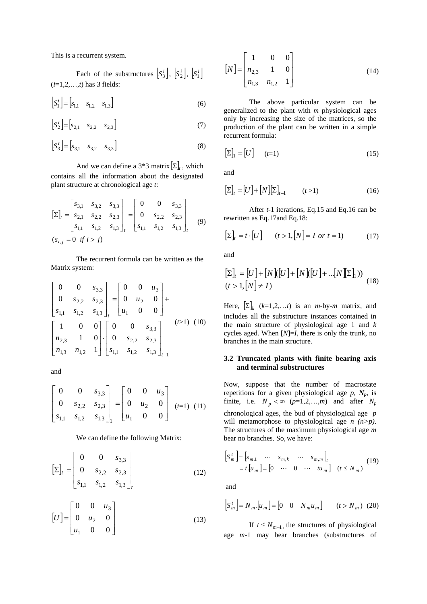This is a recurrent system.

Each of the substructures  $\left[ S_3^i \right]$ ,  $\left[ S_2^i \right]$ ,  $\left[ S_1^i \right]$ (*i*=1,2,…,*t*) has 3 fields:

$$
\[S_1^t\] = \begin{bmatrix} s_{1,1} & s_{1,2} & s_{1,3} \end{bmatrix} \tag{6}
$$

$$
\[S_2^t\] = \begin{bmatrix} s_{2,1} & s_{2,2} & s_{2,3} \end{bmatrix} \tag{7}
$$

$$
\left[S_3^t\right] = \left[S_{3,1} \quad s_{3,2} \quad s_{3,3}\right] \tag{8}
$$

And we can define a  $3*3$  matrix  $[\Sigma]_t$ , which contains all the information about the designated plant structure at chronological age *t*:

$$
\begin{bmatrix} \Sigma \end{bmatrix}_{t} = \begin{bmatrix} s_{3,1} & s_{3,2} & s_{3,3} \\ s_{2,1} & s_{2,2} & s_{2,3} \\ s_{1,1} & s_{1,2} & s_{1,3} \end{bmatrix}_{t} = \begin{bmatrix} 0 & 0 & s_{3,3} \\ 0 & s_{2,2} & s_{2,3} \\ s_{1,1} & s_{1,2} & s_{1,3} \end{bmatrix}_{t}
$$
 (9)  
\n
$$
(s_{i,j} = 0 \text{ if } i > j)
$$

The recurrent formula can be written as the Matrix system:

$$
\begin{bmatrix} 0 & 0 & s_{3,3} \ 0 & s_{2,2} & s_{2,3} \ s_{1,1} & s_{1,2} & s_{1,3} \end{bmatrix}_{t} = \begin{bmatrix} 0 & 0 & u_{3} \ 0 & u_{2} & 0 \ u_{1} & 0 & 0 \end{bmatrix} +
$$
  
\n
$$
\begin{bmatrix} 1 & 0 & 0 \ n_{2,3} & 1 & 0 \ n_{1,3} & n_{1,2} & 1 \end{bmatrix} \begin{bmatrix} 0 & 0 & s_{3,3} \ 0 & s_{2,2} & s_{2,3} \ s_{1,1} & s_{1,2} & s_{1,3} \end{bmatrix}_{t-1}
$$
 (10)

and

$$
\begin{bmatrix} 0 & 0 & s_{3,3} \\ 0 & s_{2,2} & s_{2,3} \\ s_{1,1} & s_{1,2} & s_{1,3} \end{bmatrix}_{1} = \begin{bmatrix} 0 & 0 & u_{3} \\ 0 & u_{2} & 0 \\ u_{1} & 0 & 0 \end{bmatrix}
$$
  $(t=1)$  (11)

We can define the following Matrix:

$$
\left[\Sigma\right]_t = \begin{bmatrix} 0 & 0 & s_{3,3} \\ 0 & s_{2,2} & s_{2,3} \\ s_{1,1} & s_{1,2} & s_{1,3} \end{bmatrix}_t \tag{12}
$$

$$
[U] = \begin{bmatrix} 0 & 0 & u_3 \\ 0 & u_2 & 0 \\ u_1 & 0 & 0 \end{bmatrix}
$$
 (13)

$$
\begin{bmatrix} N \end{bmatrix} = \begin{bmatrix} 1 & 0 & 0 \\ n_{2,3} & 1 & 0 \\ n_{1,3} & n_{1,2} & 1 \end{bmatrix}
$$
 (14)

The above particular system can be generalized to the plant with *m* physiological ages only by increasing the size of the matrices, so the production of the plant can be written in a simple recurrent formula:

$$
\left[\Sigma\right]_1 = \left[U\right] \qquad (t=1) \tag{15}
$$

and

$$
\left[\Sigma\right]_t = \left[U\right] + \left[N\right]\left[\Sigma\right]_{t-1} \qquad (t > 1) \tag{16}
$$

After *t*-1 iterations, Eq.15 and Eq.16 can be rewritten as Eq.17and Eq.18:

$$
\left[\Sigma\right]_t = t \cdot \left[U\right] \qquad (t > 1, \left[N\right] = I \text{ or } t = 1) \tag{17}
$$

and

$$
\begin{aligned} \left[\Sigma\right]_t &= \left[U\right] + \left[N\right]\left[\left[U\right] + \left[N\right]\left[\left[U\right] + \dots\left[N\right]\left[\Sigma\right]\right]\right) \\ (t &> 1, \left[N\right] \neq I) \end{aligned} \tag{18}
$$

Here,  $[\Sigma]_k$  ( $k=1,2,...t$ ) is an *m*-by-*m* matrix, and includes all the substructure instances contained in the main structure of physiological age 1 and *k* cycles aged. When [*N*]=*I*, there is only the trunk, no branches in the main structure.

# **3.2 Truncated plants with finite bearing axis and terminal substructures**

Now, suppose that the number of macrostate repetitions for a given physiological age  $p$ ,  $N_p$ , is finite, i.e.  $N_p < \infty$  ( $p=1,2,...,m$ ) and after  $N_p$ chronological ages, the bud of physiological age *p*  will metamorphose to physiological age *n (n>p)*. The structures of the maximum physiological age *m* bear no branches. So, we have:

$$
\begin{bmatrix} S_m^t \end{bmatrix} = \begin{bmatrix} s_{m,1} & \cdots & s_{m,k} & \cdots & s_{m,m} \end{bmatrix}_t
$$
  
=  $t \begin{bmatrix} u_m \end{bmatrix} = \begin{bmatrix} 0 & \cdots & 0 & \cdots & t u_m \end{bmatrix}$   $(t \le N_m)$  (19)

and

$$
\[S_m^t\] = N_m \left[ u_m \right] = \begin{bmatrix} 0 & 0 & N_m u_m \end{bmatrix} \qquad (t > N_m) \tag{20}
$$

If  $t ≤ N_{m-1}$ , the structures of physiological age *m-*1 may bear branches (substructures of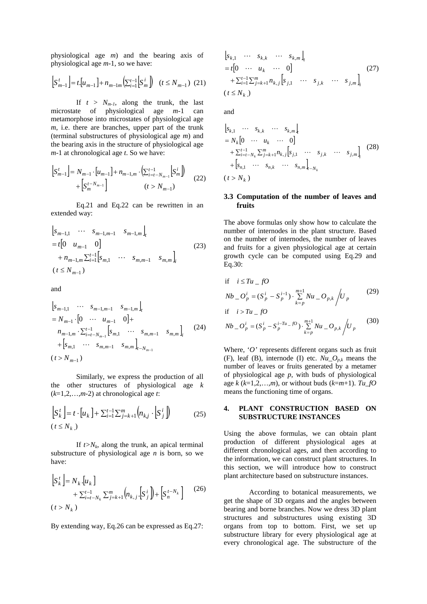physiological age *m*) and the bearing axis of physiological age *m*-1*,* so we have:

$$
\left[S_{m-1}^t\right] = t\left[u_{m-1}\right] + n_{m-1m}\left(\sum_{i=1}^{t-1} \left[S_m^i\right]\right) \quad (t \le N_{m-1}) \tag{21}
$$

If  $t > N_{m-l}$ , along the trunk, the last microstate of physiological age *m*-1 can metamorphose into microstates of physiological age *m*, i.e. there are branches, upper part of the trunk (terminal substructures of physiological age *m*) and the bearing axis in the structure of physiological age *m*-1 at chronological age *t*. So we have:

$$
\[S_{m-1}^t\] = N_{m-1} \cdot [u_{m-1}] + n_{m-1,m} \cdot \left( \sum_{i=t-N_{m-1}}^{t-1} [S_m^i] \right) + \left[ S_m^{t-N_{m-1}} \right] \qquad (22)
$$

Eq.21 and Eq.22 can be rewritten in an extended way:

$$
\begin{aligned}\n\left[s_{m-1,1} \cdots s_{m-1,m-1} \quad s_{m-1,m}\right]_t \\
&= t \left[0 \quad u_{m-1} \quad 0\right] \\
&+ n_{m-1,m} \sum_{i=1}^{t-1} \left[s_{m,1} \quad \cdots \quad s_{m,m-1} \quad s_{m,m}\right]_i \\
(t \le N_{m-1})\n\end{aligned} \tag{23}
$$

and  $\overline{1}$ 

$$
\begin{aligned}\n\left[s_{m-1,1} \cdots s_{m-1,m-1} s_{m-1,m}\right]_t \\
&= N_{m-1} \cdot \left[0 \cdots u_{m-1} 0\right] + \\
n_{m-1,m} \cdot \sum_{i=t-N_{m-1}}^{t-1} \left[s_{m,1} \cdots s_{m,m-1} s_{m,m}\right]_i \\
&+ \left[s_{m,1} \cdots s_{m,m-1} s_{m,m}\right]_{t-N_{m-1}}\n\end{aligned} \tag{24}
$$
\n
$$
(t > N_{m-1})
$$

Similarly, we express the production of all the other structures of physiological age *k* (*k*=1,2,…,*m*-2) at chronological age *t*:

$$
\begin{bmatrix} S_k^t \end{bmatrix} = t \cdot [u_k] + \sum_{i=1}^{t-1} \sum_{j=k+1}^m \left( n_{k,j} \cdot [S_j^i] \right)
$$
 (25)

If  $t>N_k$ , along the trunk, an apical terminal substructure of physiological age *n* is born, so we have:

$$
\begin{aligned} \left| S_k^t \right| &= N_k \left[ u_k \right] \\ &+ \sum_{i=t-N_k}^{t-1} \sum_{j=k+1}^m \left( n_{k,j} \left[ S_j^i \right] \right) + \left[ S_n^{t-N_k} \right] \end{aligned} \tag{26}
$$

By extending way, Eq.26 can be expressed as Eq.27:

$$
\begin{aligned} \n\left[s_{k,1} \quad \cdots \quad s_{k,k} \quad \cdots \quad s_{k,m}\right]_{t} \\
&= t \begin{bmatrix} 0 & \cdots \quad u_k \quad \cdots \quad 0 \end{bmatrix} \\
&+ \sum_{i=1}^{t-1} \sum_{j=k+1}^{m} n_{k,j} \begin{bmatrix} s_{j,1} \quad \cdots \quad s_{j,k} \quad \cdots \quad s_{j,m} \end{bmatrix}_{i} \\
(t \leq N_k) \n\end{aligned} \tag{27}
$$

and

$$
\begin{aligned}\n\left[s_{k,1} \cdots s_{k,k} \cdots s_{k,m}\right] &= N_k \left[0 \cdots u_k \cdots 0\right] \\
&+ \sum_{i=l-N_k}^{t-1} \sum_{j=k+1}^{m} n_{k,j} \left[s_{j,1} \cdots s_{j,k} \cdots s_{j,m}\right]_{i} \\
&+ \left[s_{n,1} \cdots s_{n,k} \cdots s_{n,m}\right]_{i-N_k} \\
(t > N_k)\n\end{aligned} \tag{28}
$$

# **3.3 Computation of the number of leaves and fruits**

The above formulas only show how to calculate the number of internodes in the plant structure. Based on the number of internodes, the number of leaves and fruits for a given physiological age at certain growth cycle can be computed using Eq.29 and Eq.30:

if 
$$
i \le Tu_- fO
$$
  
\n $Nb_- O_p^i = (S_p^i - S_p^{i-1}) \cdot \sum_{k=p}^{m+1} Nu_- O_{p,k} / U_p$  (29)  
\nif  $i > Tu_- fO$   
\n $Nb_- O_p^i = (S_p^i - S_p^{i-Tu- fO}) \cdot \sum_{k=p}^{m+1} Nu_- O_{p,k} / U_p$  (30)

Where, '*O'* represents different organs such as fruit (F), leaf (B), internode (I) etc.  $Nu\_O_{p,k}$  means the number of leaves or fruits generated by a metamer of physiological age *p*, with buds of physiological age  $k$  ( $k=1,2,...,m$ ), or without buds ( $k=m+1$ ).  $Tu_fO$ means the functioning time of organs.

## **4. PLANT CONSTRUCTION BASED ON SUBSTRUCTURE INSTANCES**

Using the above formulas, we can obtain plant production of different physiological ages at different chronological ages, and then according to the information, we can construct plant structures. In this section, we will introduce how to construct plant architecture based on substructure instances.

According to botanical measurements, we get the shape of 3D organs and the angles between bearing and borne branches. Now we dress 3D plant structures and substructures using existing 3D organs from top to bottom. First, we set up substructure library for every physiological age at every chronological age. The substructure of the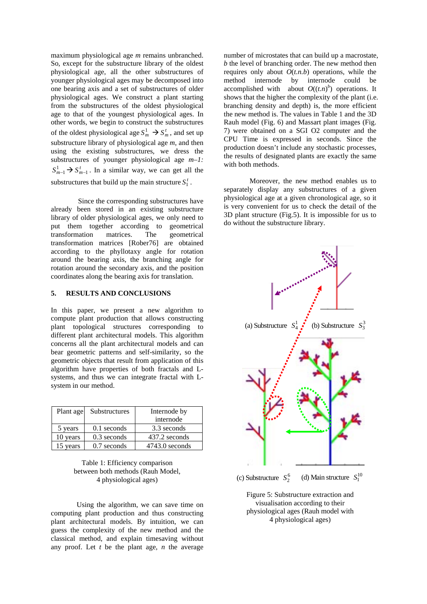maximum physiological age *m* remains unbranched. So, except for the substructure library of the oldest physiological age, all the other substructures of younger physiological ages may be decomposed into one bearing axis and a set of substructures of older physiological ages. We construct a plant starting from the substructures of the oldest physiological age to that of the youngest physiological ages. In other words, we begin to construct the substructures of the oldest physiological age  $S_m^1 \rightarrow S_m^t$ , and set up substructure library of physiological age *m*, and then using the existing substructures, we dress the substructures of younger physiological age *m–1:*   $S_{m-1}^1 \rightarrow S_{m-1}^t$ . In a similar way, we can get all the substructures that build up the main structure  $S_1^t$ .

 Since the corresponding substructures have already been stored in an existing substructure library of older physiological ages, we only need to put them together according to geometrical transformation matrices. The geometrical transformation matrices [Rober76] are obtained according to the phyllotaxy angle for rotation around the bearing axis, the branching angle for rotation around the secondary axis, and the position coordinates along the bearing axis for translation.

## **5. RESULTS AND CONCLUSIONS**

In this paper, we present a new algorithm to compute plant production that allows constructing plant topological structures corresponding to different plant architectural models. This algorithm concerns all the plant architectural models and can bear geometric patterns and self-similarity, so the geometric objects that result from application of this algorithm have properties of both fractals and Lsystems, and thus we can integrate fractal with Lsystem in our method.

| Plant age | Substructures | Internode by     |
|-----------|---------------|------------------|
|           |               | internode        |
| 5 years   | $0.1$ seconds | 3.3 seconds      |
| 10 years  | $0.3$ seconds | 437.2 seconds    |
| 15 years  | 0.7 seconds   | $4743.0$ seconds |

Table 1: Efficiency comparison between both methods (Rauh Model, 4 physiological ages)

Using the algorithm, we can save time on computing plant production and thus constructing plant architectural models. By intuition, we can guess the complexity of the new method and the classical method, and explain timesaving without any proof. Let *t* be the plant age, *n* the average

number of microstates that can build up a macrostate, *b* the level of branching order. The new method then requires only about  $O(t.n.b)$  operations, while the method internode by internode could be accomplished with about  $O((t.n)^b)$  operations. It shows that the higher the complexity of the plant (i.e. branching density and depth) is, the more efficient the new method is. The values in Table 1 and the 3D Rauh model (Fig. 6) and Massart plant images (Fig. 7) were obtained on a SGI O2 computer and the CPU Time is expressed in seconds. Since the production doesn't include any stochastic processes, the results of designated plants are exactly the same with both methods.

Moreover, the new method enables us to separately display any substructures of a given physiological age at a given chronological age, so it is very convenient for us to check the detail of the 3D plant structure (Fig.5). It is impossible for us to do without the substructure library.



(c) Substructure  $S_2^6$  (d) Main structure  $S_1^{10}$ 

Figure 5: Substructure extraction and visualisation according to their physiological ages (Rauh model with 4 physiological ages)